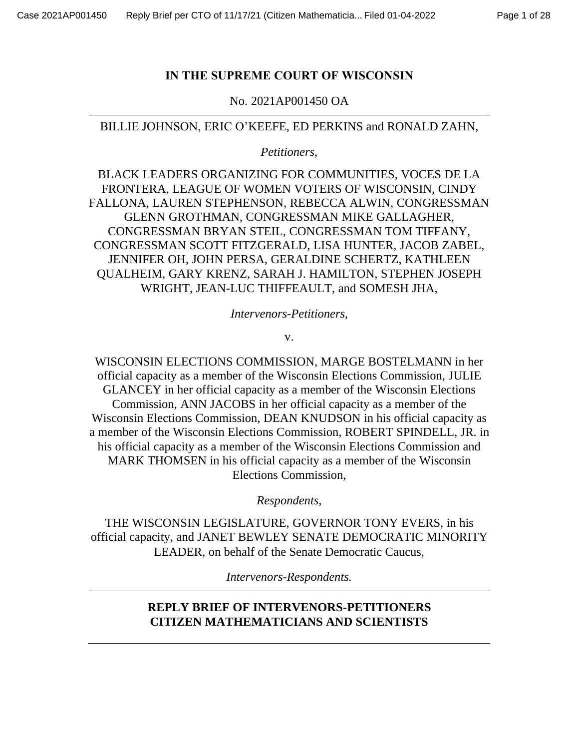### **IN THE SUPREME COURT OF WISCONSIN**

No. 2021AP001450 OA

BILLIE JOHNSON, ERIC O'KEEFE, ED PERKINS and RONALD ZAHN,

*Petitioners,* 

BLACK LEADERS ORGANIZING FOR COMMUNITIES, VOCES DE LA FRONTERA, LEAGUE OF WOMEN VOTERS OF WISCONSIN, CINDY FALLONA, LAUREN STEPHENSON, REBECCA ALWIN, CONGRESSMAN GLENN GROTHMAN, CONGRESSMAN MIKE GALLAGHER, CONGRESSMAN BRYAN STEIL, CONGRESSMAN TOM TIFFANY, CONGRESSMAN SCOTT FITZGERALD, LISA HUNTER, JACOB ZABEL, JENNIFER OH, JOHN PERSA, GERALDINE SCHERTZ, KATHLEEN QUALHEIM, GARY KRENZ, SARAH J. HAMILTON, STEPHEN JOSEPH WRIGHT, JEAN-LUC THIFFEAULT, and SOMESH JHA,

*Intervenors-Petitioners,*

v.

WISCONSIN ELECTIONS COMMISSION, MARGE BOSTELMANN in her official capacity as a member of the Wisconsin Elections Commission, JULIE GLANCEY in her official capacity as a member of the Wisconsin Elections Commission, ANN JACOBS in her official capacity as a member of the Wisconsin Elections Commission, DEAN KNUDSON in his official capacity as a member of the Wisconsin Elections Commission, ROBERT SPINDELL, JR. in his official capacity as a member of the Wisconsin Elections Commission and MARK THOMSEN in his official capacity as a member of the Wisconsin Elections Commission,

*Respondents,*

THE WISCONSIN LEGISLATURE, GOVERNOR TONY EVERS, in his official capacity, and JANET BEWLEY SENATE DEMOCRATIC MINORITY LEADER, on behalf of the Senate Democratic Caucus,

*Intervenors-Respondents.*

# **REPLY BRIEF OF INTERVENORS-PETITIONERS CITIZEN MATHEMATICIANS AND SCIENTISTS**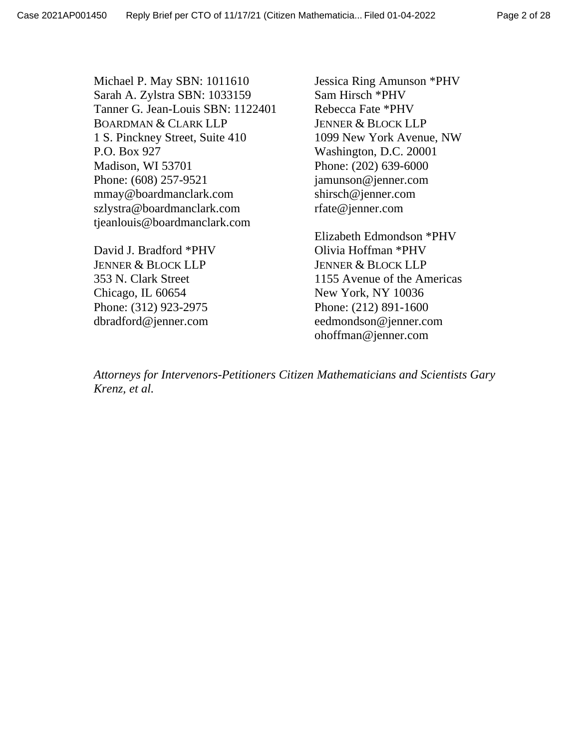Page 2 of 28

Michael P. May SBN: 1011610 Sarah A. Zylstra SBN: 1033159 Tanner G. Jean-Louis SBN: 1122401 BOARDMAN & CLARK LLP 1 S. Pinckney Street, Suite 410 P.O. Box 927 Madison, WI 53701 Phone: (608) 257-9521 mmay@boardmanclark.com szlystra@boardmanclark.com tjeanlouis@boardmanclark.com

David J. Bradford \*PHV JENNER & BLOCK LLP 353 N. Clark Street Chicago, IL 60654 Phone: (312) 923-2975 dbradford@jenner.com

Jessica Ring Amunson \*PHV Sam Hirsch \*PHV Rebecca Fate \*PHV JENNER & BLOCK LLP 1099 New York Avenue, NW Washington, D.C. 20001 Phone: (202) 639-6000 jamunson@jenner.com shirsch@jenner.com rfate@jenner.com

Elizabeth Edmondson \*PHV Olivia Hoffman \*PHV JENNER & BLOCK LLP 1155 Avenue of the Americas New York, NY 10036 Phone: (212) 891-1600 eedmondson@jenner.com ohoffman@jenner.com

*Attorneys for Intervenors-Petitioners Citizen Mathematicians and Scientists Gary Krenz, et al.*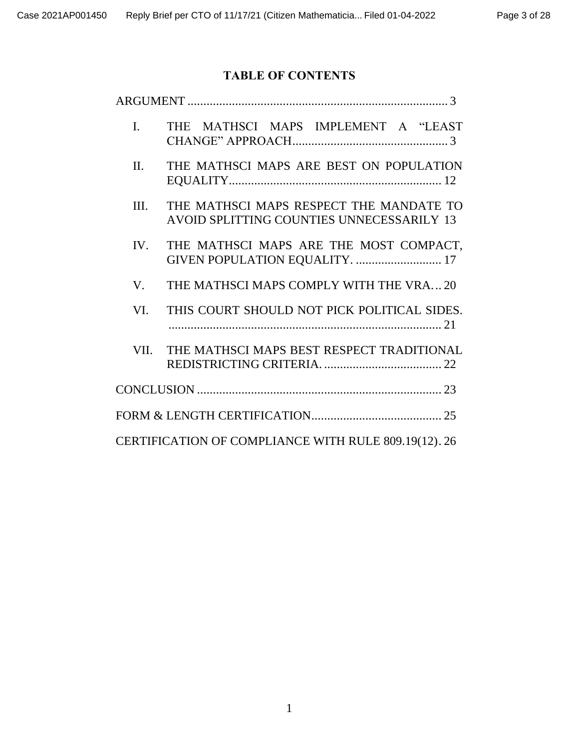# **TABLE OF CONTENTS**

| $\mathbf{I}$ . | THE MATHSCI MAPS IMPLEMENT A "LEAST                                                  |
|----------------|--------------------------------------------------------------------------------------|
| II.            | THE MATHSCI MAPS ARE BEST ON POPULATION                                              |
| Ш.             | THE MATHSCI MAPS RESPECT THE MANDATE TO<br>AVOID SPLITTING COUNTIES UNNECESSARILY 13 |
| IV.            | THE MATHSCI MAPS ARE THE MOST COMPACT,<br>GIVEN POPULATION EQUALITY.  17             |
| V.             | THE MATHSCI MAPS COMPLY WITH THE VRA20                                               |
| VI.            | THIS COURT SHOULD NOT PICK POLITICAL SIDES.                                          |
| VII.           | THE MATHSCI MAPS BEST RESPECT TRADITIONAL                                            |
|                |                                                                                      |
|                |                                                                                      |
|                | CERTIFICATION OF COMPLIANCE WITH RULE 809.19(12). 26                                 |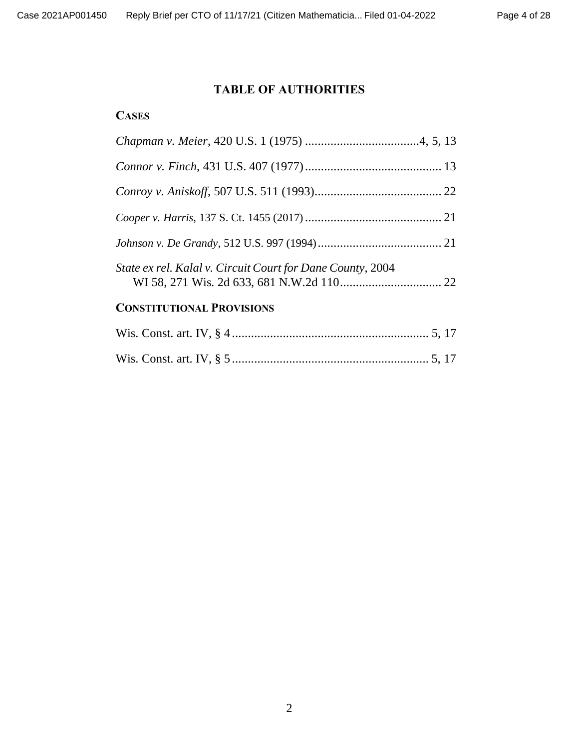## **TABLE OF AUTHORITIES**

## **CASES**

| State ex rel. Kalal v. Circuit Court for Dane County, 2004 |  |
|------------------------------------------------------------|--|
| <b>CONSTITUTIONAL PROVISIONS</b>                           |  |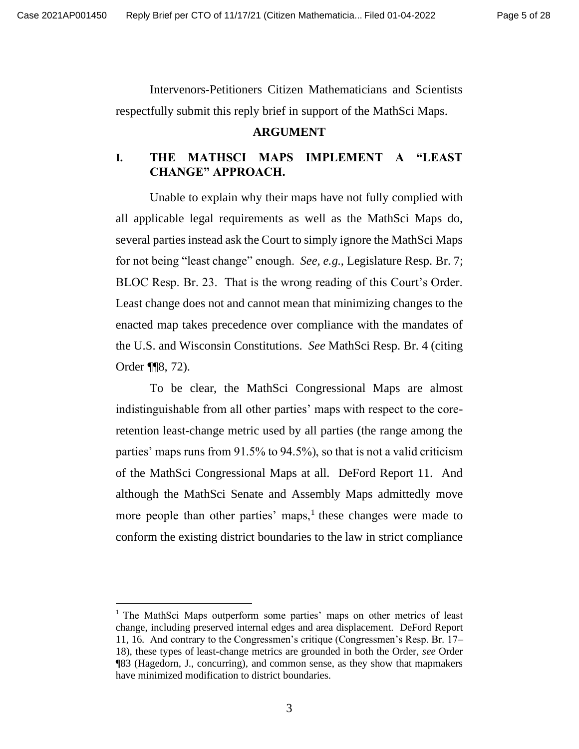Intervenors-Petitioners Citizen Mathematicians and Scientists respectfully submit this reply brief in support of the MathSci Maps.

#### **ARGUMENT**

## **I. THE MATHSCI MAPS IMPLEMENT A "LEAST CHANGE" APPROACH.**

Unable to explain why their maps have not fully complied with all applicable legal requirements as well as the MathSci Maps do, several parties instead ask the Court to simply ignore the MathSci Maps for not being "least change" enough. *See, e.g.*, Legislature Resp. Br. 7; BLOC Resp. Br. 23. That is the wrong reading of this Court's Order. Least change does not and cannot mean that minimizing changes to the enacted map takes precedence over compliance with the mandates of the U.S. and Wisconsin Constitutions. *See* MathSci Resp. Br. 4 (citing Order ¶¶8, 72).

To be clear, the MathSci Congressional Maps are almost indistinguishable from all other parties' maps with respect to the coreretention least-change metric used by all parties (the range among the parties' maps runs from 91.5% to 94.5%), so that is not a valid criticism of the MathSci Congressional Maps at all. DeFord Report 11. And although the MathSci Senate and Assembly Maps admittedly move more people than other parties' maps, $<sup>1</sup>$  these changes were made to</sup> conform the existing district boundaries to the law in strict compliance

<sup>&</sup>lt;sup>1</sup> The MathSci Maps outperform some parties' maps on other metrics of least change, including preserved internal edges and area displacement. DeFord Report 11, 16. And contrary to the Congressmen's critique (Congressmen's Resp. Br. 17– 18), these types of least-change metrics are grounded in both the Order, *see* Order ¶83 (Hagedorn, J., concurring), and common sense, as they show that mapmakers have minimized modification to district boundaries.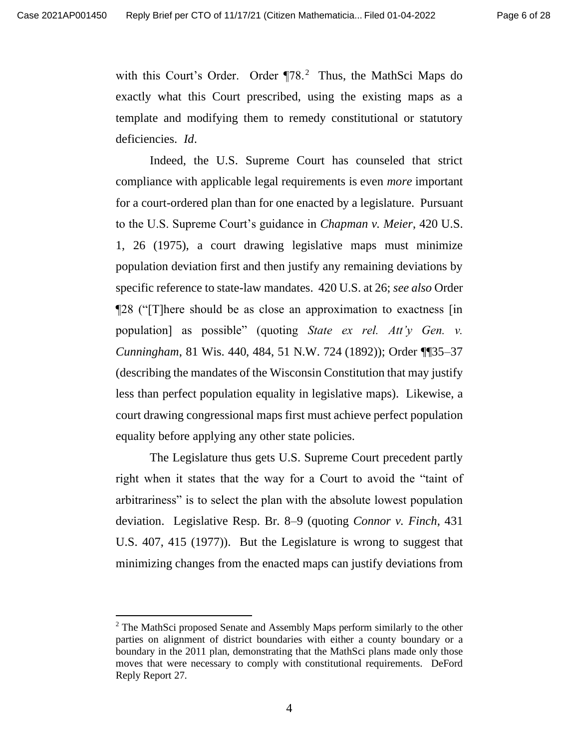with this Court's Order. Order ¶78.<sup>2</sup> Thus, the MathSci Maps do exactly what this Court prescribed, using the existing maps as a template and modifying them to remedy constitutional or statutory deficiencies. *Id*.

Indeed, the U.S. Supreme Court has counseled that strict compliance with applicable legal requirements is even *more* important for a court-ordered plan than for one enacted by a legislature. Pursuant to the U.S. Supreme Court's guidance in *Chapman v. Meier*, 420 U.S. 1, 26 (1975), a court drawing legislative maps must minimize population deviation first and then justify any remaining deviations by specific reference to state-law mandates. 420 U.S. at 26; *see also* Order ¶28 ("[T]here should be as close an approximation to exactness [in population] as possible" (quoting *State ex rel. Att'y Gen. v. Cunningham*, 81 Wis. 440, 484, 51 N.W. 724 (1892)); Order ¶¶35–37 (describing the mandates of the Wisconsin Constitution that may justify less than perfect population equality in legislative maps). Likewise, a court drawing congressional maps first must achieve perfect population equality before applying any other state policies.

The Legislature thus gets U.S. Supreme Court precedent partly right when it states that the way for a Court to avoid the "taint of arbitrariness" is to select the plan with the absolute lowest population deviation. Legislative Resp. Br. 8–9 (quoting *Connor v. Finch*, 431 U.S. 407, 415 (1977)). But the Legislature is wrong to suggest that minimizing changes from the enacted maps can justify deviations from

 $2$  The MathSci proposed Senate and Assembly Maps perform similarly to the other parties on alignment of district boundaries with either a county boundary or a boundary in the 2011 plan, demonstrating that the MathSci plans made only those moves that were necessary to comply with constitutional requirements. DeFord Reply Report 27.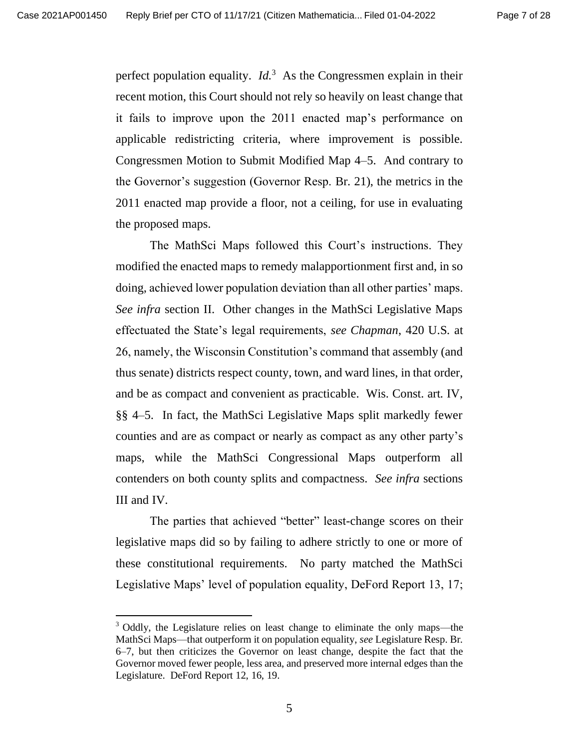perfect population equality.  $Id<sup>3</sup>$  As the Congressmen explain in their recent motion, this Court should not rely so heavily on least change that it fails to improve upon the 2011 enacted map's performance on applicable redistricting criteria, where improvement is possible. Congressmen Motion to Submit Modified Map 4–5. And contrary to the Governor's suggestion (Governor Resp. Br. 21), the metrics in the 2011 enacted map provide a floor, not a ceiling, for use in evaluating the proposed maps.

The MathSci Maps followed this Court's instructions. They modified the enacted maps to remedy malapportionment first and, in so doing, achieved lower population deviation than all other parties' maps. *See infra* section II. Other changes in the MathSci Legislative Maps effectuated the State's legal requirements, *see Chapman*, 420 U.S. at 26, namely, the Wisconsin Constitution's command that assembly (and thus senate) districts respect county, town, and ward lines, in that order, and be as compact and convenient as practicable. Wis. Const. art. IV, §§ 4–5. In fact, the MathSci Legislative Maps split markedly fewer counties and are as compact or nearly as compact as any other party's maps, while the MathSci Congressional Maps outperform all contenders on both county splits and compactness. *See infra* sections III and IV.

The parties that achieved "better" least-change scores on their legislative maps did so by failing to adhere strictly to one or more of these constitutional requirements. No party matched the MathSci Legislative Maps' level of population equality, DeFord Report 13, 17;

<sup>&</sup>lt;sup>3</sup> Oddly, the Legislature relies on least change to eliminate the only maps—the MathSci Maps—that outperform it on population equality, *see* Legislature Resp. Br. 6–7, but then criticizes the Governor on least change, despite the fact that the Governor moved fewer people, less area, and preserved more internal edges than the Legislature. DeFord Report 12, 16, 19.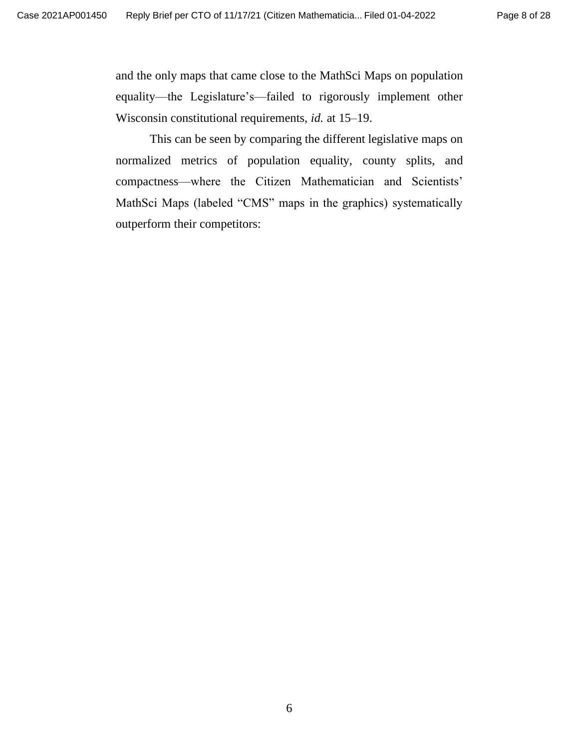and the only maps that came close to the MathSci Maps on population equality—the Legislature's—failed to rigorously implement other Wisconsin constitutional requirements, *id.* at 15–19.

This can be seen by comparing the different legislative maps on normalized metrics of population equality, county splits, and compactness—where the Citizen Mathematician and Scientists' MathSci Maps (labeled "CMS" maps in the graphics) systematically outperform their competitors: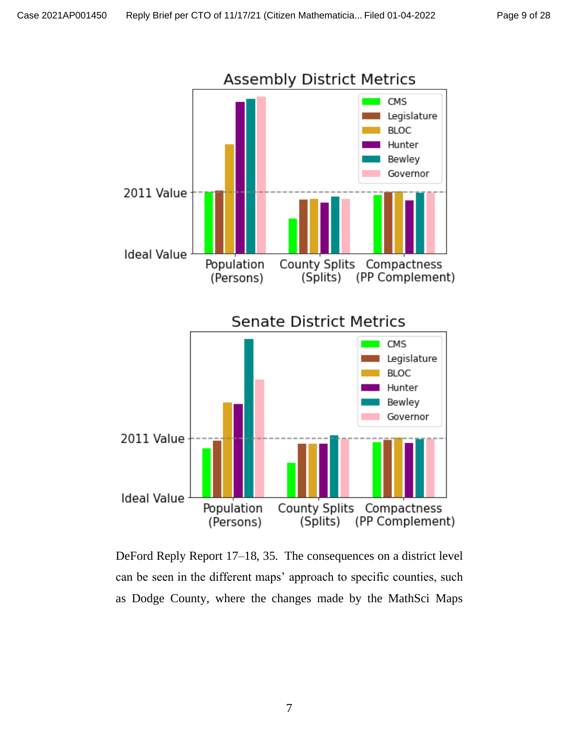

DeFord Reply Report 17–18, 35. The consequences on a district level can be seen in the different maps' approach to specific counties, such as Dodge County, where the changes made by the MathSci Maps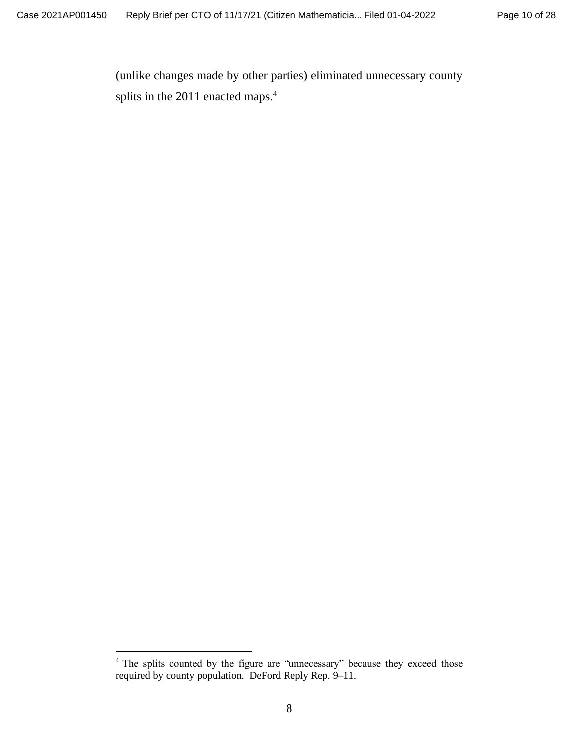(unlike changes made by other parties) eliminated unnecessary county splits in the 2011 enacted maps.<sup>4</sup>

<sup>&</sup>lt;sup>4</sup> The splits counted by the figure are "unnecessary" because they exceed those required by county population. DeFord Reply Rep. 9–11.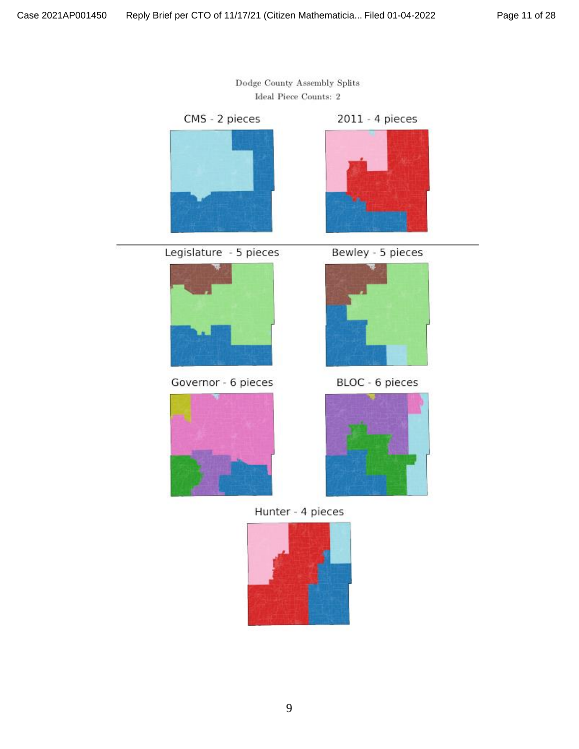

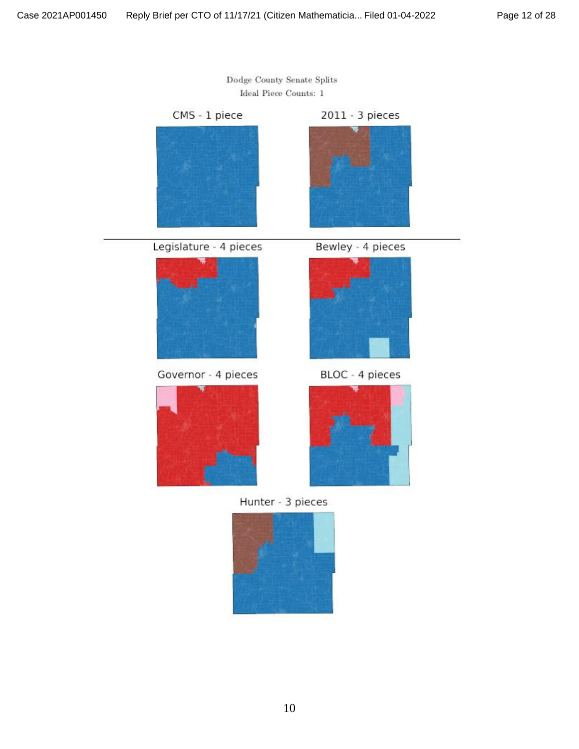

Dodge County Senate Splits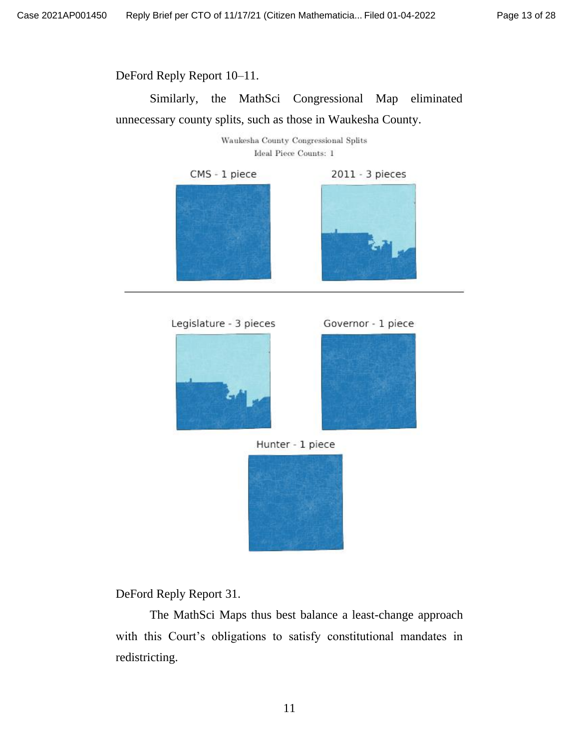DeFord Reply Report 10–11.

Similarly, the MathSci Congressional Map eliminated unnecessary county splits, such as those in Waukesha County.

> Waukesha County Congressional Splits Ideal Piece Counts: 1



Legislature - 3 pieces







Hunter - 1 piece



DeFord Reply Report 31.

The MathSci Maps thus best balance a least-change approach with this Court's obligations to satisfy constitutional mandates in redistricting.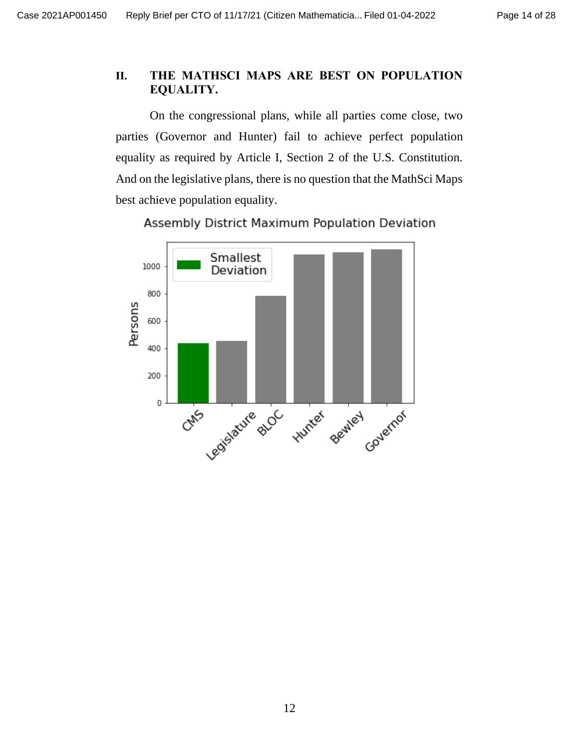# **II. THE MATHSCI MAPS ARE BEST ON POPULATION EQUALITY.**

On the congressional plans, while all parties come close, two parties (Governor and Hunter) fail to achieve perfect population equality as required by Article I, Section 2 of the U.S. Constitution. And on the legislative plans, there is no question that the MathSci Maps best achieve population equality.



Assembly District Maximum Population Deviation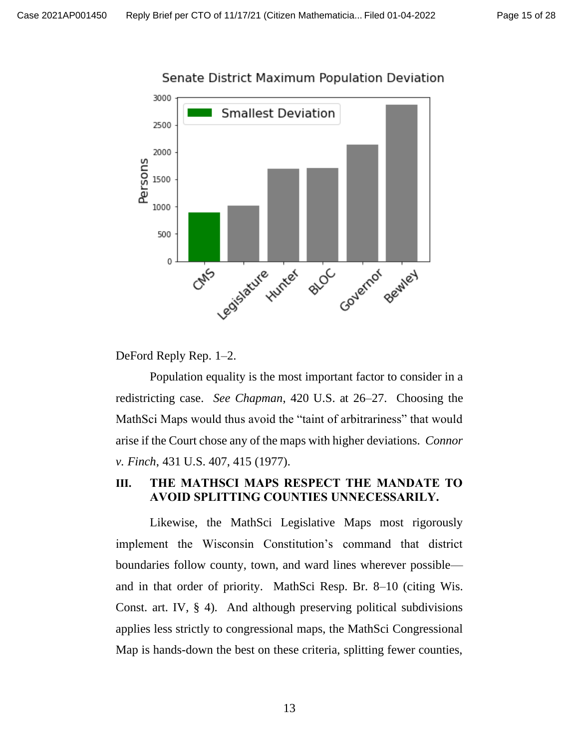

Senate District Maximum Population Deviation

DeFord Reply Rep. 1–2.

Population equality is the most important factor to consider in a redistricting case. *See Chapman*, 420 U.S. at 26–27. Choosing the MathSci Maps would thus avoid the "taint of arbitrariness" that would arise if the Court chose any of the maps with higher deviations. *Connor v. Finch*, 431 U.S. 407, 415 (1977).

## **III. THE MATHSCI MAPS RESPECT THE MANDATE TO AVOID SPLITTING COUNTIES UNNECESSARILY.**

Likewise, the MathSci Legislative Maps most rigorously implement the Wisconsin Constitution's command that district boundaries follow county, town, and ward lines wherever possible and in that order of priority. MathSci Resp. Br. 8–10 (citing Wis. Const. art. IV, § 4). And although preserving political subdivisions applies less strictly to congressional maps, the MathSci Congressional Map is hands-down the best on these criteria, splitting fewer counties,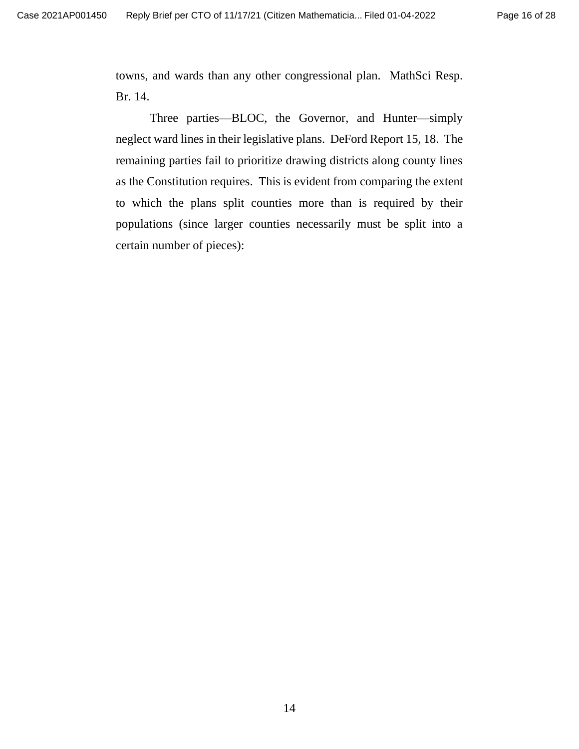towns, and wards than any other congressional plan. MathSci Resp. Br. 14.

Three parties—BLOC, the Governor, and Hunter—simply neglect ward lines in their legislative plans. DeFord Report 15, 18. The remaining parties fail to prioritize drawing districts along county lines as the Constitution requires. This is evident from comparing the extent to which the plans split counties more than is required by their populations (since larger counties necessarily must be split into a certain number of pieces):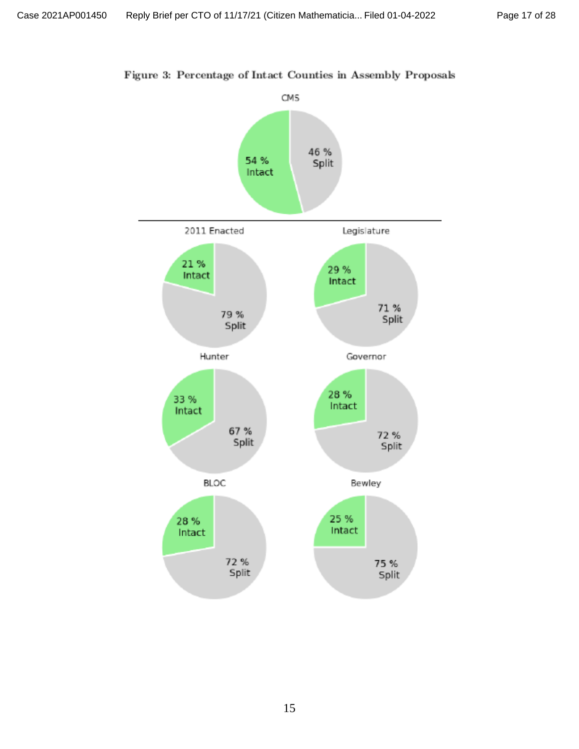

Figure 3: Percentage of Intact Counties in Assembly Proposals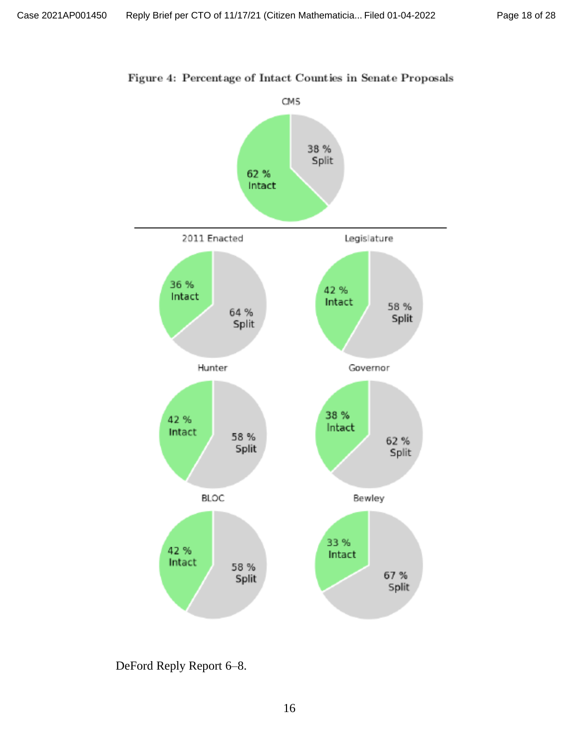

Figure 4: Percentage of Intact Counties in Senate Proposals

DeFord Reply Report 6–8.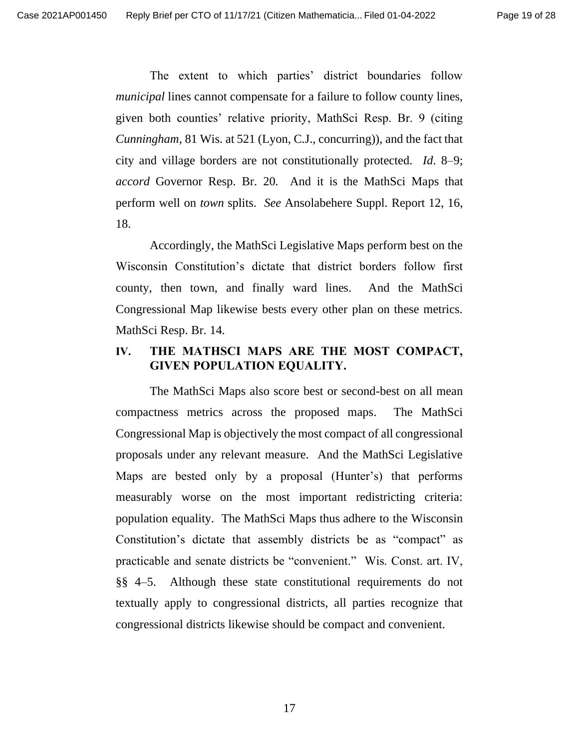The extent to which parties' district boundaries follow *municipal* lines cannot compensate for a failure to follow county lines, given both counties' relative priority, MathSci Resp. Br. 9 (citing *Cunningham*, 81 Wis. at 521 (Lyon, C.J., concurring)), and the fact that city and village borders are not constitutionally protected. *Id*. 8–9; *accord* Governor Resp. Br. 20. And it is the MathSci Maps that perform well on *town* splits. *See* Ansolabehere Suppl. Report 12, 16, 18.

Accordingly, the MathSci Legislative Maps perform best on the Wisconsin Constitution's dictate that district borders follow first county, then town, and finally ward lines. And the MathSci Congressional Map likewise bests every other plan on these metrics. MathSci Resp. Br. 14.

### **IV. THE MATHSCI MAPS ARE THE MOST COMPACT, GIVEN POPULATION EQUALITY.**

The MathSci Maps also score best or second-best on all mean compactness metrics across the proposed maps. The MathSci Congressional Map is objectively the most compact of all congressional proposals under any relevant measure. And the MathSci Legislative Maps are bested only by a proposal (Hunter's) that performs measurably worse on the most important redistricting criteria: population equality. The MathSci Maps thus adhere to the Wisconsin Constitution's dictate that assembly districts be as "compact" as practicable and senate districts be "convenient." Wis. Const. art. IV, §§ 4–5. Although these state constitutional requirements do not textually apply to congressional districts, all parties recognize that congressional districts likewise should be compact and convenient.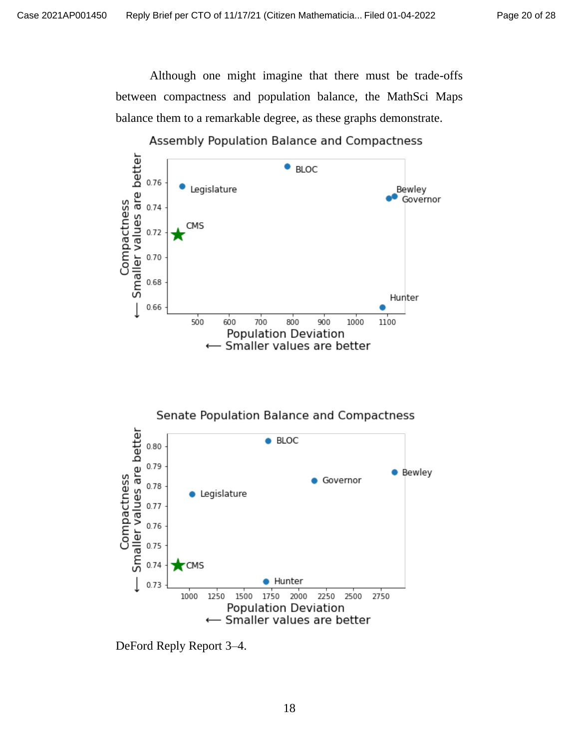Although one might imagine that there must be trade-offs between compactness and population balance, the MathSci Maps balance them to a remarkable degree, as these graphs demonstrate.





DeFord Reply Report 3–4.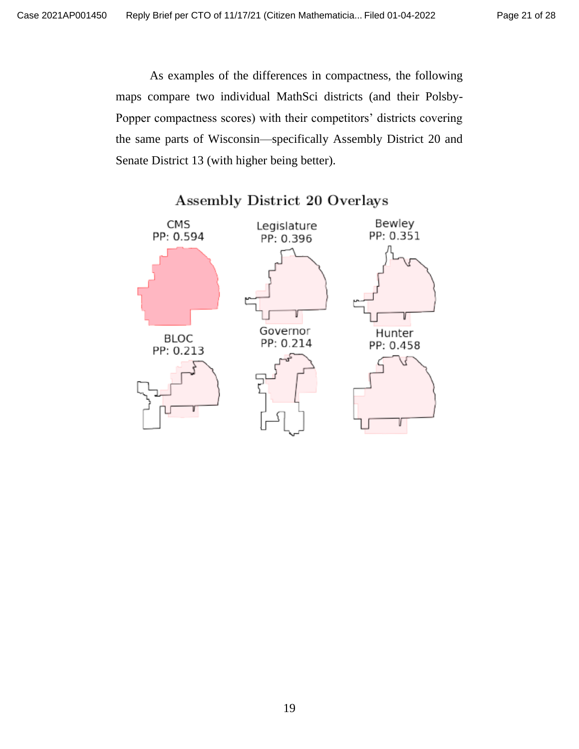As examples of the differences in compactness, the following maps compare two individual MathSci districts (and their Polsby-Popper compactness scores) with their competitors' districts covering the same parts of Wisconsin—specifically Assembly District 20 and Senate District 13 (with higher being better).



# Assembly District 20 Overlays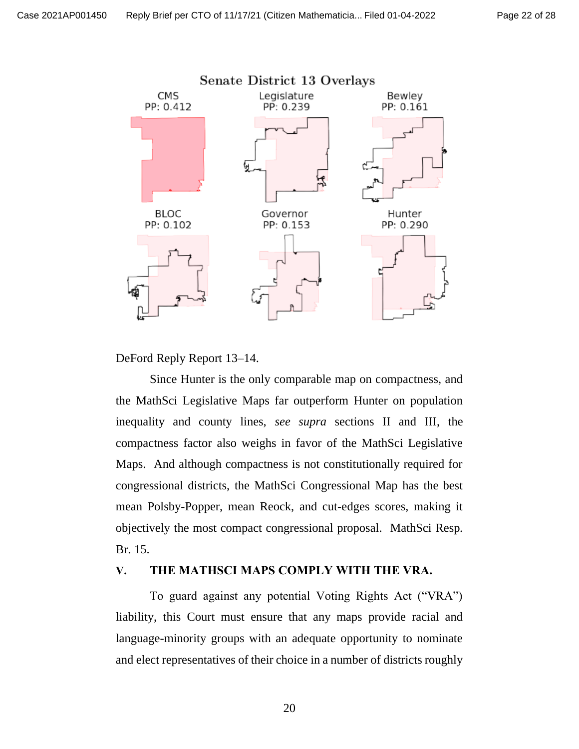

DeFord Reply Report 13–14.

Since Hunter is the only comparable map on compactness, and the MathSci Legislative Maps far outperform Hunter on population inequality and county lines, *see supra* sections II and III, the compactness factor also weighs in favor of the MathSci Legislative Maps. And although compactness is not constitutionally required for congressional districts, the MathSci Congressional Map has the best mean Polsby-Popper, mean Reock, and cut-edges scores, making it objectively the most compact congressional proposal. MathSci Resp. Br. 15.

#### **V. THE MATHSCI MAPS COMPLY WITH THE VRA.**

To guard against any potential Voting Rights Act ("VRA") liability, this Court must ensure that any maps provide racial and language-minority groups with an adequate opportunity to nominate and elect representatives of their choice in a number of districts roughly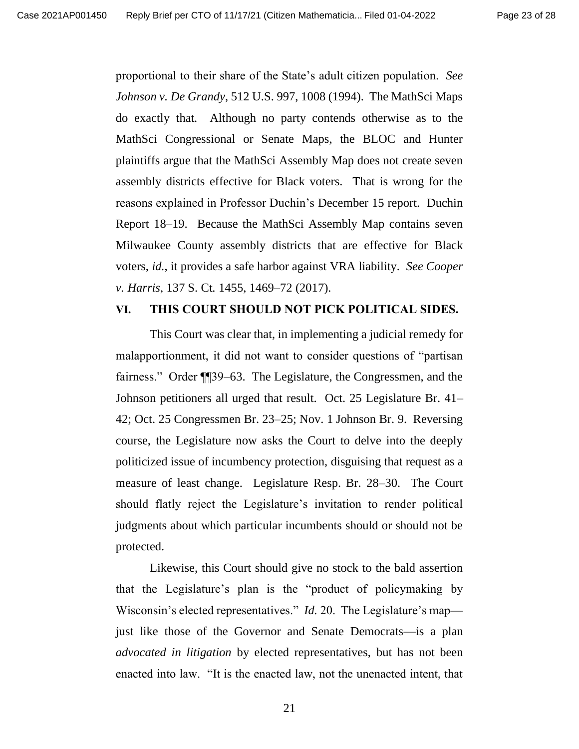proportional to their share of the State's adult citizen population. *See Johnson v. De Grandy*, 512 U.S. 997, 1008 (1994). The MathSci Maps do exactly that. Although no party contends otherwise as to the MathSci Congressional or Senate Maps, the BLOC and Hunter plaintiffs argue that the MathSci Assembly Map does not create seven assembly districts effective for Black voters. That is wrong for the reasons explained in Professor Duchin's December 15 report. Duchin Report 18–19. Because the MathSci Assembly Map contains seven Milwaukee County assembly districts that are effective for Black voters, *id.*, it provides a safe harbor against VRA liability. *See Cooper v. Harris*, 137 S. Ct. 1455, 1469–72 (2017).

#### **VI. THIS COURT SHOULD NOT PICK POLITICAL SIDES.**

This Court was clear that, in implementing a judicial remedy for malapportionment, it did not want to consider questions of "partisan fairness." Order ¶¶39–63. The Legislature, the Congressmen, and the Johnson petitioners all urged that result. Oct. 25 Legislature Br. 41– 42; Oct. 25 Congressmen Br. 23–25; Nov. 1 Johnson Br. 9. Reversing course, the Legislature now asks the Court to delve into the deeply politicized issue of incumbency protection, disguising that request as a measure of least change. Legislature Resp. Br. 28–30. The Court should flatly reject the Legislature's invitation to render political judgments about which particular incumbents should or should not be protected.

Likewise, this Court should give no stock to the bald assertion that the Legislature's plan is the "product of policymaking by Wisconsin's elected representatives." *Id.* 20. The Legislature's map just like those of the Governor and Senate Democrats—is a plan *advocated in litigation* by elected representatives, but has not been enacted into law. "It is the enacted law, not the unenacted intent, that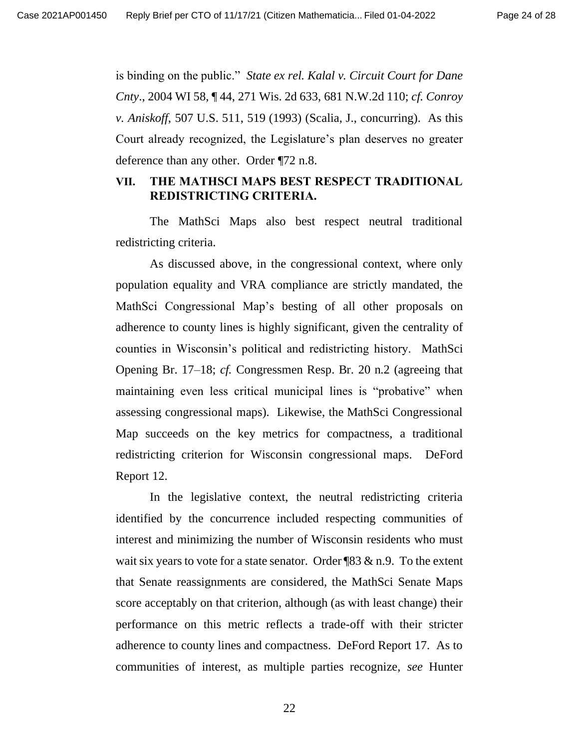is binding on the public." *State ex rel. Kalal v. Circuit Court for Dane Cnty*., 2004 WI 58, ¶ 44, 271 Wis. 2d 633, 681 N.W.2d 110; *cf. Conroy v. Aniskoff*, 507 U.S. 511, 519 (1993) (Scalia, J., concurring). As this Court already recognized, the Legislature's plan deserves no greater deference than any other. Order ¶72 n.8.

## **VII. THE MATHSCI MAPS BEST RESPECT TRADITIONAL REDISTRICTING CRITERIA.**

The MathSci Maps also best respect neutral traditional redistricting criteria.

As discussed above, in the congressional context, where only population equality and VRA compliance are strictly mandated, the MathSci Congressional Map's besting of all other proposals on adherence to county lines is highly significant, given the centrality of counties in Wisconsin's political and redistricting history. MathSci Opening Br. 17–18; *cf.* Congressmen Resp. Br. 20 n.2 (agreeing that maintaining even less critical municipal lines is "probative" when assessing congressional maps). Likewise, the MathSci Congressional Map succeeds on the key metrics for compactness, a traditional redistricting criterion for Wisconsin congressional maps. DeFord Report 12.

In the legislative context, the neutral redistricting criteria identified by the concurrence included respecting communities of interest and minimizing the number of Wisconsin residents who must wait six years to vote for a state senator. Order  $\sqrt{83} \& n.9$ . To the extent that Senate reassignments are considered, the MathSci Senate Maps score acceptably on that criterion, although (as with least change) their performance on this metric reflects a trade-off with their stricter adherence to county lines and compactness. DeFord Report 17. As to communities of interest, as multiple parties recognize, *see* Hunter

22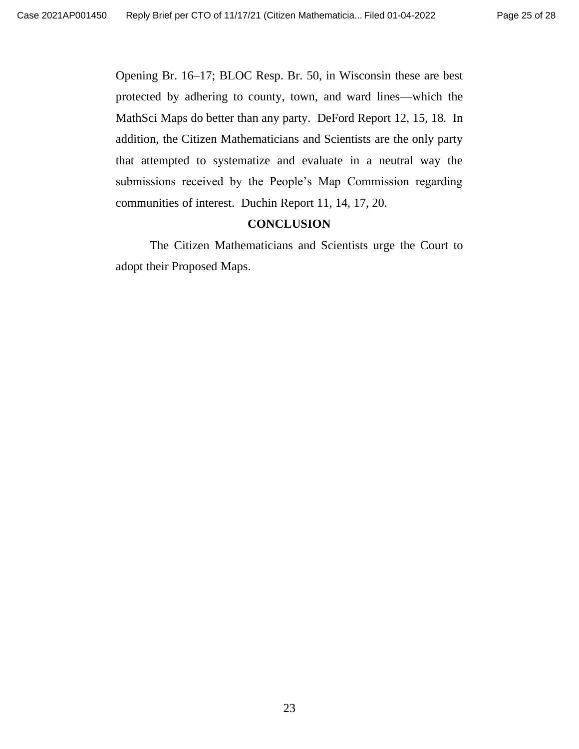Opening Br. 16–17; BLOC Resp. Br. 50, in Wisconsin these are best protected by adhering to county, town, and ward lines—which the MathSci Maps do better than any party. DeFord Report 12, 15, 18. In addition, the Citizen Mathematicians and Scientists are the only party that attempted to systematize and evaluate in a neutral way the submissions received by the People's Map Commission regarding communities of interest. Duchin Report 11, 14, 17, 20.

#### **CONCLUSION**

The Citizen Mathematicians and Scientists urge the Court to adopt their Proposed Maps.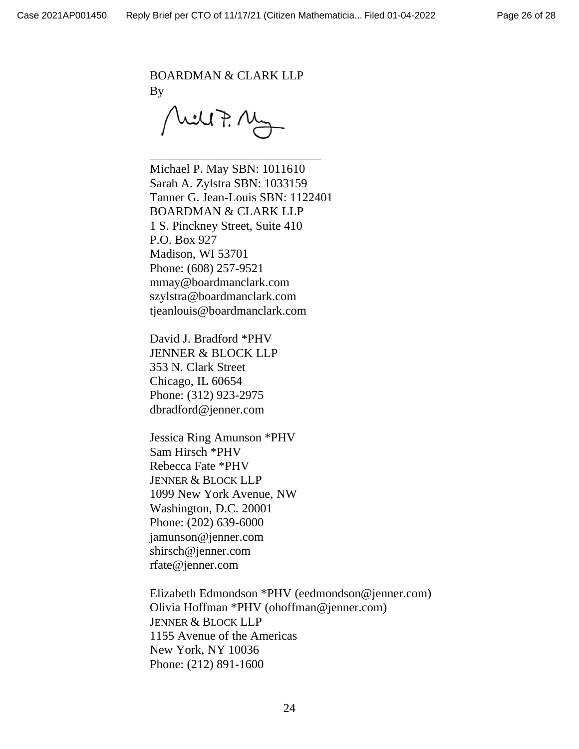BOARDMAN & CLARK LLP By

Well F. My

\_\_\_\_\_\_\_\_\_\_\_\_\_\_\_\_\_\_\_\_\_\_\_\_\_\_\_\_

Michael P. May SBN: 1011610 Sarah A. Zylstra SBN: 1033159 Tanner G. Jean-Louis SBN: 1122401 BOARDMAN & CLARK LLP 1 S. Pinckney Street, Suite 410 P.O. Box 927 Madison, WI 53701 Phone: (608) 257-9521 mmay@boardmanclark.com szylstra@boardmanclark.com tjeanlouis@boardmanclark.com

David J. Bradford \*PHV JENNER & BLOCK LLP 353 N. Clark Street Chicago, IL 60654 Phone: (312) 923-2975 dbradford@jenner.com

Jessica Ring Amunson \*PHV Sam Hirsch \*PHV Rebecca Fate \*PHV JENNER & BLOCK LLP 1099 New York Avenue, NW Washington, D.C. 20001 Phone: (202) 639-6000 jamunson@jenner.com shirsch@jenner.com rfate@jenner.com

Elizabeth Edmondson \*PHV (eedmondson@jenner.com) Olivia Hoffman \*PHV (ohoffman@jenner.com) JENNER & BLOCK LLP 1155 Avenue of the Americas New York, NY 10036 Phone: (212) 891-1600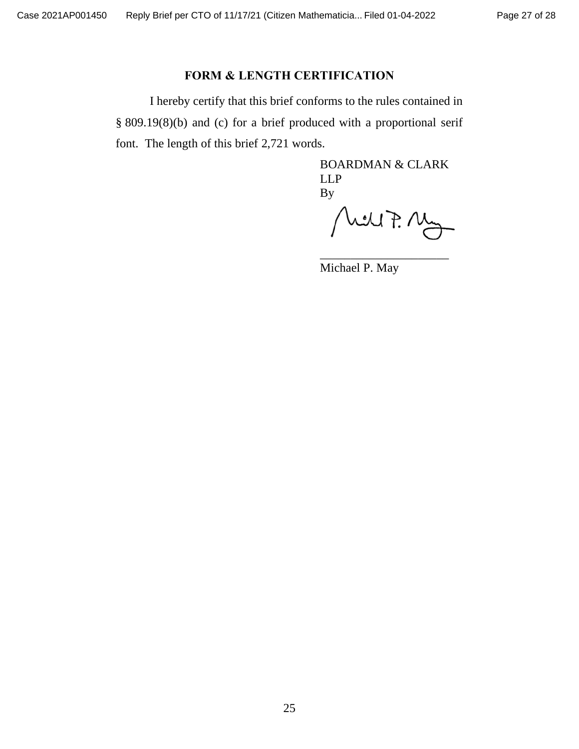## **FORM & LENGTH CERTIFICATION**

I hereby certify that this brief conforms to the rules contained in § 809.19(8)(b) and (c) for a brief produced with a proportional serif font. The length of this brief 2,721 words.

> BOARDMAN & CLARK LLP By

Well F. My

\_\_\_\_\_\_\_\_\_\_\_\_\_\_\_\_\_\_\_\_\_

Michael P. May